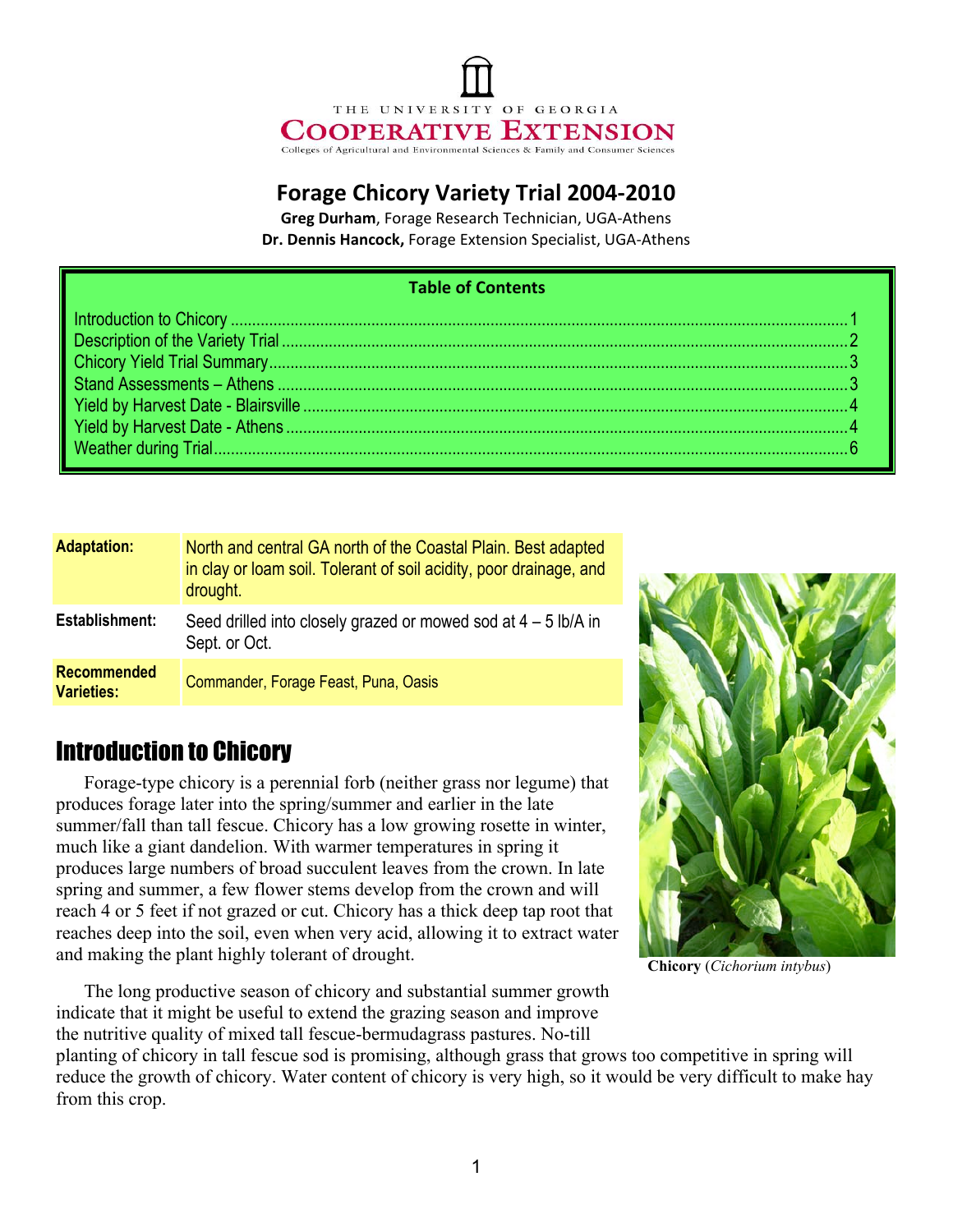# THE UNIVERSITY OF GEORGIA **COOPERATIVE EXTENSION** Colleges of Agricultural and Environmental Sciences & Family and Consumer Sciences

#### **Forage Chicory Variety Trial 2004-2010**

**Greg Durham, Forage Research Technician, UGA-Athens** Dr. Dennis Hancock, Forage Extension Specialist, UGA-Athens

#### **Table of Contents**

| <b>Adaptation:</b>                      | North and central GA north of the Coastal Plain. Best adapted<br>in clay or loam soil. Tolerant of soil acidity, poor drainage, and<br>drought. |
|-----------------------------------------|-------------------------------------------------------------------------------------------------------------------------------------------------|
| Establishment:                          | Seed drilled into closely grazed or mowed sod at $4 - 5$ lb/A in<br>Sept. or Oct.                                                               |
| <b>Recommended</b><br><b>Varieties:</b> | Commander, Forage Feast, Puna, Oasis                                                                                                            |

## Introduction to Chicory

Forage-type chicory is a perennial forb (neither grass nor legume) that produces forage later into the spring/summer and earlier in the late summer/fall than tall fescue. Chicory has a low growing rosette in winter, much like a giant dandelion. With warmer temperatures in spring it produces large numbers of broad succulent leaves from the crown. In late spring and summer, a few flower stems develop from the crown and will reach 4 or 5 feet if not grazed or cut. Chicory has a thick deep tap root that reaches deep into the soil, even when very acid, allowing it to extract water and making the plant highly tolerant of drought.

The long productive season of chicory and substantial summer growth indicate that it might be useful to extend the grazing season and improve the nutritive quality of mixed tall fescue-bermudagrass pastures. No-till

**Chicory** (*Cichorium intybus*)

planting of chicory in tall fescue sod is promising, although grass that grows too competitive in spring will reduce the growth of chicory. Water content of chicory is very high, so it would be very difficult to make hay from this crop.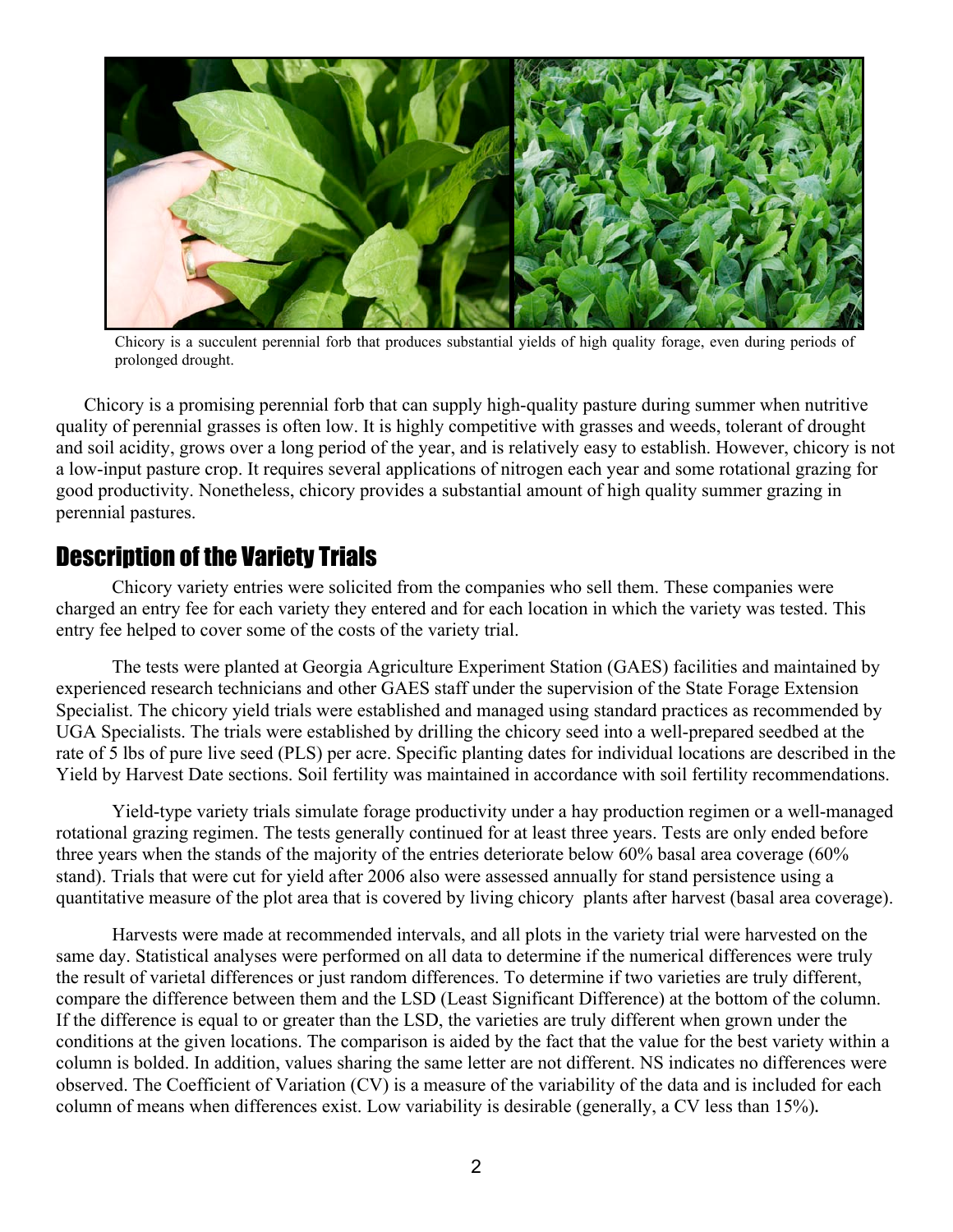

Chicory is a succulent perennial forb that produces substantial yields of high quality forage, even during periods of prolonged drought.

Chicory is a promising perennial forb that can supply high-quality pasture during summer when nutritive quality of perennial grasses is often low. It is highly competitive with grasses and weeds, tolerant of drought and soil acidity, grows over a long period of the year, and is relatively easy to establish. However, chicory is not a low-input pasture crop. It requires several applications of nitrogen each year and some rotational grazing for good productivity. Nonetheless, chicory provides a substantial amount of high quality summer grazing in perennial pastures.

#### Description of the Variety Trials

Chicory variety entries were solicited from the companies who sell them. These companies were charged an entry fee for each variety they entered and for each location in which the variety was tested. This entry fee helped to cover some of the costs of the variety trial.

The tests were planted at Georgia Agriculture Experiment Station (GAES) facilities and maintained by experienced research technicians and other GAES staff under the supervision of the State Forage Extension Specialist. The chicory yield trials were established and managed using standard practices as recommended by UGA Specialists. The trials were established by drilling the chicory seed into a well-prepared seedbed at the rate of 5 lbs of pure live seed (PLS) per acre. Specific planting dates for individual locations are described in the Yield by Harvest Date sections. Soil fertility was maintained in accordance with soil fertility recommendations.

Yield-type variety trials simulate forage productivity under a hay production regimen or a well-managed rotational grazing regimen. The tests generally continued for at least three years. Tests are only ended before three years when the stands of the majority of the entries deteriorate below 60% basal area coverage (60% stand). Trials that were cut for yield after 2006 also were assessed annually for stand persistence using a quantitative measure of the plot area that is covered by living chicory plants after harvest (basal area coverage).

Harvests were made at recommended intervals, and all plots in the variety trial were harvested on the same day. Statistical analyses were performed on all data to determine if the numerical differences were truly the result of varietal differences or just random differences. To determine if two varieties are truly different, compare the difference between them and the LSD (Least Significant Difference) at the bottom of the column. If the difference is equal to or greater than the LSD, the varieties are truly different when grown under the conditions at the given locations. The comparison is aided by the fact that the value for the best variety within a column is bolded. In addition, values sharing the same letter are not different. NS indicates no differences were observed. The Coefficient of Variation (CV) is a measure of the variability of the data and is included for each column of means when differences exist. Low variability is desirable (generally, a CV less than 15%)**:**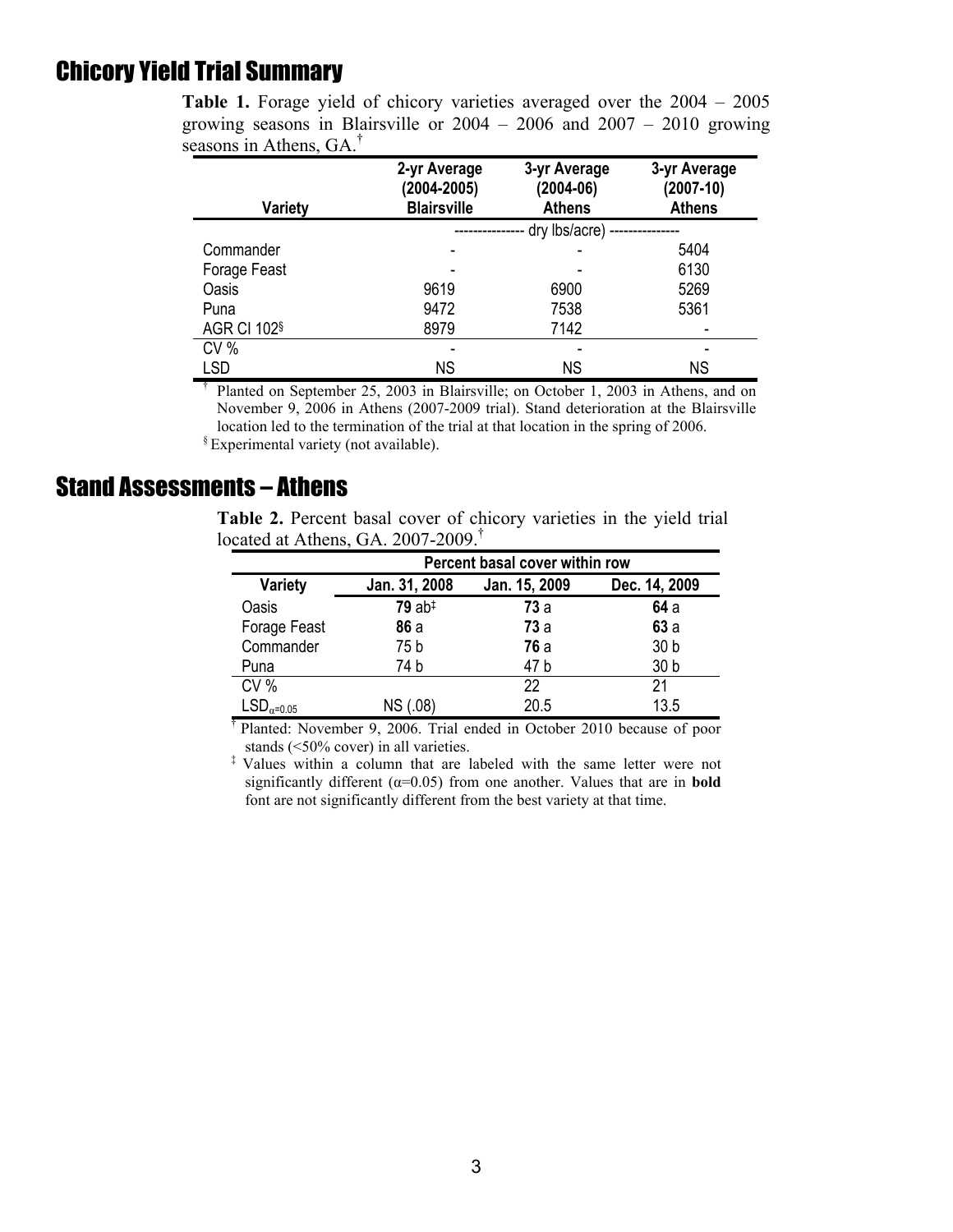## Chicory Yield Trial Summary

| Variety             | 2-yr Average<br>(2004-2005)<br><b>Blairsville</b> | 3-yr Average<br>$(2004-06)$<br><b>Athens</b> | 3-yr Average<br>$(2007 - 10)$<br><b>Athens</b> |  |
|---------------------|---------------------------------------------------|----------------------------------------------|------------------------------------------------|--|
|                     |                                                   | dry lbs/acre) -                              |                                                |  |
| Commander           |                                                   |                                              | 5404                                           |  |
| Forage Feast        |                                                   |                                              | 6130                                           |  |
| Oasis               | 9619                                              | 6900                                         | 5269                                           |  |
| Puna                | 9472                                              | 7538                                         | 5361                                           |  |
| <b>AGR CI 102</b> § | 8979                                              | 7142                                         |                                                |  |
| CV%                 |                                                   |                                              | ۰                                              |  |
| LSD                 | <b>NS</b>                                         | ΝS                                           | ΝS                                             |  |

**Table 1.** Forage yield of chicory varieties averaged over the 2004 – 2005 growing seasons in Blairsville or 2004 – 2006 and 2007 – 2010 growing seasons in Athens, GA<sup> $\dagger$ </sup>

† Planted on September 25, 2003 in Blairsville; on October 1, 2003 in Athens, and on November 9, 2006 in Athens (2007-2009 trial). Stand deterioration at the Blairsville location led to the termination of the trial at that location in the spring of 2006. § Experimental variety (not available).

#### Stand Assessments – Athens

**Table 2.** Percent basal cover of chicory varieties in the yield trial located at Athens, GA. 2007-2009.<sup>†</sup>

|              | Percent basal cover within row                  |            |                 |  |  |  |  |
|--------------|-------------------------------------------------|------------|-----------------|--|--|--|--|
| Variety      | Jan. 31, 2008<br>Jan. 15, 2009<br>Dec. 14, 2009 |            |                 |  |  |  |  |
| Oasis        | $79$ ab <sup><math>‡</math></sup>               | <b>73a</b> | 64a             |  |  |  |  |
| Forage Feast | 86a                                             | <b>73a</b> | 63a             |  |  |  |  |
| Commander    | 75 b                                            | <b>76a</b> | 30 <sub>b</sub> |  |  |  |  |
| Puna         | 74 b                                            | 47 b       | 30 b            |  |  |  |  |
| CV%          |                                                 | 22         | 21              |  |  |  |  |
| $LSDα=0.05$  | NS (.08)                                        | 20.5       | 13.5            |  |  |  |  |

† Planted: November 9, 2006. Trial ended in October 2010 because of poor stands (<50% cover) in all varieties.

‡ Values within a column that are labeled with the same letter were not significantly different ( $\alpha$ =0.05) from one another. Values that are in **bold** font are not significantly different from the best variety at that time.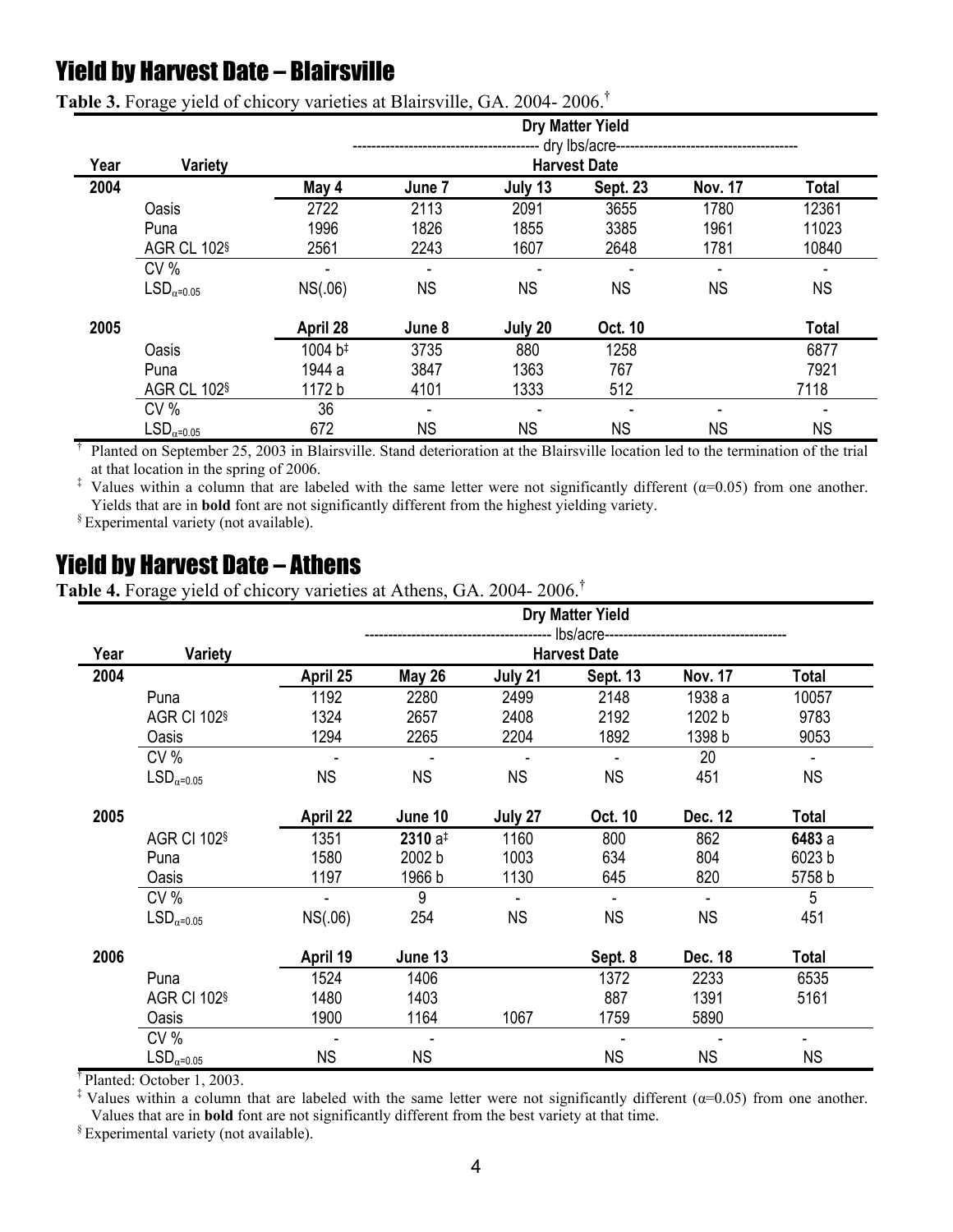## Yield by Harvest Date – Blairsville

|      |                              |                                                             |           |           | <b>Dry Matter Yield</b> |                |              |
|------|------------------------------|-------------------------------------------------------------|-----------|-----------|-------------------------|----------------|--------------|
| Year | Variety                      | dry lbs/acre--<br>------------------<br><b>Harvest Date</b> |           |           |                         |                |              |
| 2004 |                              | May 4                                                       | June 7    | July 13   | <b>Sept. 23</b>         | <b>Nov. 17</b> | Total        |
|      | Oasis                        | 2722                                                        | 2113      | 2091      | 3655                    | 1780           | 12361        |
|      | Puna                         | 1996                                                        | 1826      | 1855      | 3385                    | 1961           | 11023        |
|      | AGR CL 102 <sup>§</sup>      | 2561                                                        | 2243      | 1607      | 2648                    | 1781           | 10840        |
|      | CV%                          |                                                             |           |           |                         |                |              |
|      | $\mathsf{LSD}_{\alpha=0.05}$ | NS(.06)                                                     | <b>NS</b> | <b>NS</b> | <b>NS</b>               | <b>NS</b>      | <b>NS</b>    |
| 2005 |                              | April 28                                                    | June 8    | July 20   | Oct. 10                 |                | <b>Total</b> |
|      | Oasis                        | 1004 b <sup>#</sup>                                         | 3735      | 880       | 1258                    |                | 6877         |
|      | Puna                         | 1944 a                                                      | 3847      | 1363      | 767                     |                | 7921         |
|      | AGR CL 102 <sup>§</sup>      | 1172 b                                                      | 4101      | 1333      | 512                     |                | 7118         |
|      | CV%                          | 36                                                          | ٠         |           |                         |                |              |
|      | $\mathsf{LSD}_{\alpha=0.05}$ | 672                                                         | <b>NS</b> | <b>NS</b> | <b>NS</b>               | <b>NS</b>      | <b>NS</b>    |

**Table 3.** Forage yield of chicory varieties at Blairsville, GA. 2004- 2006. †

† Planted on September 25, 2003 in Blairsville. Stand deterioration at the Blairsville location led to the termination of the trial

<sup>‡</sup> Values within a column that are labeled with the same letter were not significantly different ( $\alpha$ =0.05) from one another. Yields that are in **bold** font are not significantly different from the highest yielding variety. § Experimental variety (not available).

#### Yield by Harvest Date – Athens

**Table 4.** Forage yield of chicory varieties at Athens, GA. 2004- 2006. †

|      |                              | <b>Dry Matter Yield</b> |                                                       |           |                          |                |           |
|------|------------------------------|-------------------------|-------------------------------------------------------|-----------|--------------------------|----------------|-----------|
| Year | <b>Variety</b>               |                         | lbs/acre----------------------<br><b>Harvest Date</b> |           |                          |                |           |
| 2004 |                              | April 25                | <b>May 26</b>                                         | July 21   | Sept. 13                 | <b>Nov. 17</b> | Total     |
|      | Puna                         | 1192                    | 2280                                                  | 2499      | 2148                     | 1938 a         | 10057     |
|      | <b>AGR CI 102</b> §          | 1324                    | 2657                                                  | 2408      | 2192                     | 1202 b         | 9783      |
|      | Oasis                        | 1294                    | 2265                                                  | 2204      | 1892                     | 1398 b         | 9053      |
|      | CV%                          |                         |                                                       |           |                          | 20             |           |
|      | $\mathsf{LSD}_{\alpha=0.05}$ | <b>NS</b>               | <b>NS</b>                                             | <b>NS</b> | <b>NS</b>                | 451            | <b>NS</b> |
| 2005 |                              | April 22                | June 10                                               | July 27   | Oct. 10                  | Dec. 12        | Total     |
|      | <b>AGR CI 102</b> §          | 1351                    | $2310a^{\ddagger}$                                    | 1160      | 800                      | 862            | 6483 a    |
|      | Puna                         | 1580                    | 2002 b                                                | 1003      | 634                      | 804            | 6023 b    |
|      | Oasis                        | 1197                    | 1966 b                                                | 1130      | 645                      | 820            | 5758 b    |
|      | CV%                          |                         | 9                                                     |           | $\overline{\phantom{a}}$ |                | 5         |
|      | $LSD_{\alpha=0.05}$          | NS(.06)                 | 254                                                   | <b>NS</b> | <b>NS</b>                | <b>NS</b>      | 451       |
| 2006 |                              | April 19                | June 13                                               |           | Sept. 8                  | Dec. 18        | Total     |
|      | Puna                         | 1524                    | 1406                                                  |           | 1372                     | 2233           | 6535      |
|      | <b>AGR CI 102</b> §          | 1480                    | 1403                                                  |           | 887                      | 1391           | 5161      |
|      | Oasis                        | 1900                    | 1164                                                  | 1067      | 1759                     | 5890           |           |
|      | CV%                          |                         |                                                       |           |                          |                |           |
|      | $\mathsf{LSD}_{\alpha=0.05}$ | <b>NS</b>               | <b>NS</b>                                             |           | <b>NS</b>                | <b>NS</b>      | NS.       |

<sup>†</sup> Planted: October 1, 2003.<br><sup>‡</sup> Values within a column that are labeled with the same letter were not significantly different ( $\alpha$ =0.05) from one another. Values that are in **bold** font are not significantly different from the best variety at that time. § Experimental variety (not available).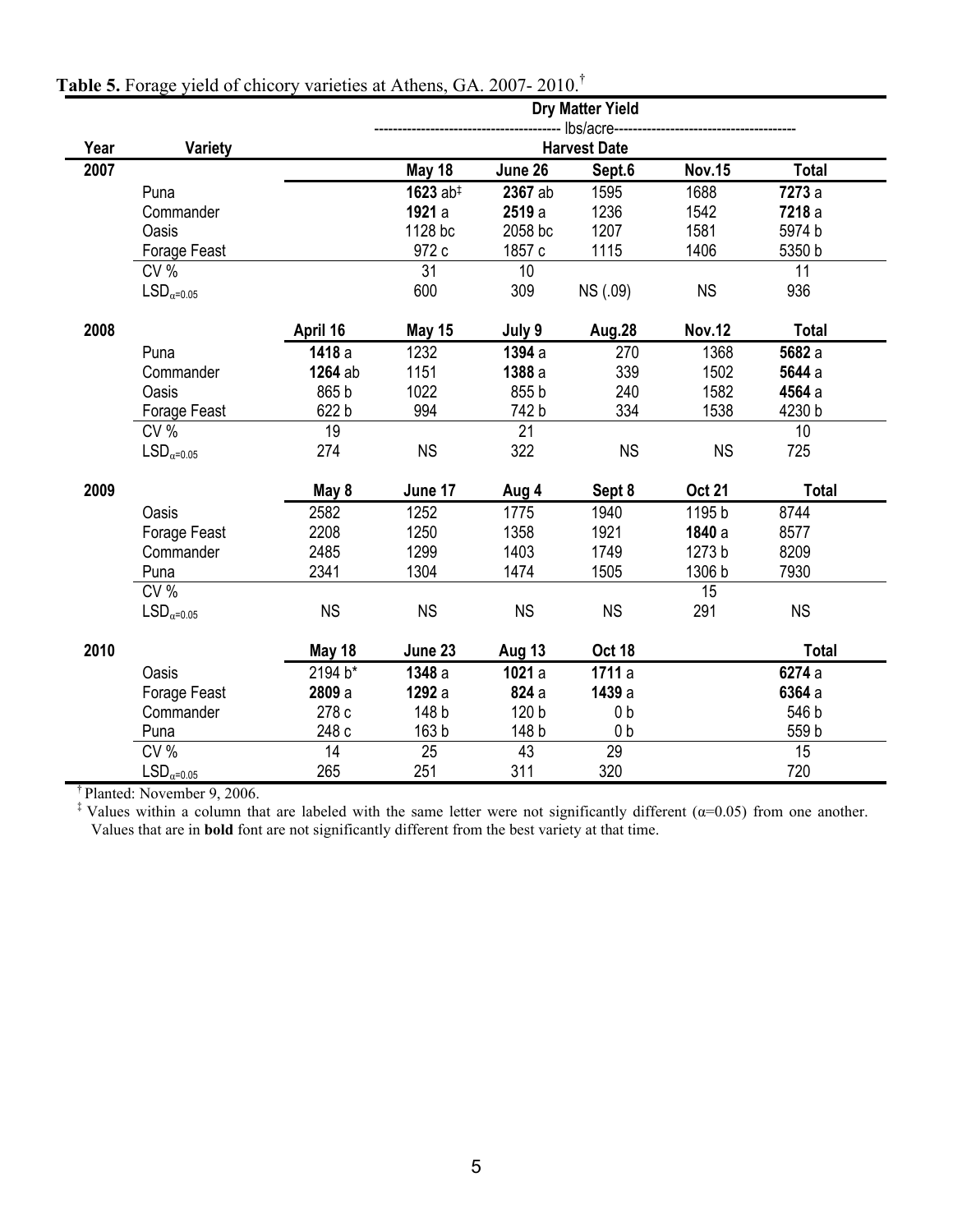|      |                              |           |                      |               | <b>Dry Matter Yield</b><br>- Ibs/acre- |               |              |
|------|------------------------------|-----------|----------------------|---------------|----------------------------------------|---------------|--------------|
| Year | Variety                      |           |                      |               | <b>Harvest Date</b>                    |               |              |
| 2007 |                              |           | May 18               | June 26       | Sept.6                                 | <b>Nov.15</b> | <b>Total</b> |
|      | Puna                         |           | 1623 $ab^{\ddagger}$ | 2367 ab       | 1595                                   | 1688          | 7273 a       |
|      | Commander                    |           | 1921 a               | 2519 a        | 1236                                   | 1542          | 7218 a       |
|      | Oasis                        |           | 1128 bc              | 2058 bc       | 1207                                   | 1581          | 5974 b       |
|      | Forage Feast                 |           | 972 c                | 1857 c        | 1115                                   | 1406          | 5350 b       |
|      | CV%                          |           | 31                   | 10            |                                        |               | 11           |
|      | $\mathsf{LSD}_{\alpha=0.05}$ |           | 600                  | 309           | NS (.09)                               | <b>NS</b>     | 936          |
| 2008 |                              | April 16  | May 15               | July 9        | <b>Aug.28</b>                          | <b>Nov.12</b> | <b>Total</b> |
|      | Puna                         | 1418 a    | 1232                 | 1394 a        | 270                                    | 1368          | 5682 a       |
|      | Commander                    | 1264 ab   | 1151                 | 1388 a        | 339                                    | 1502          | 5644 a       |
|      | <b>Oasis</b>                 | 865 b     | 1022                 | 855 b         | 240                                    | 1582          | 4564 a       |
|      | Forage Feast                 | 622 b     | 994                  | 742 b         | 334                                    | 1538          | 4230 b       |
|      | CV %                         | 19        |                      | 21            |                                        |               | 10           |
|      | $LSD_{\alpha=0.05}$          | 274       | <b>NS</b>            | 322           | <b>NS</b>                              | <b>NS</b>     | 725          |
| 2009 |                              | May 8     | June 17              | Aug 4         | Sept 8                                 | <b>Oct 21</b> | <b>Total</b> |
|      | <b>Oasis</b>                 | 2582      | 1252                 | 1775          | 1940                                   | 1195 b        | 8744         |
|      | Forage Feast                 | 2208      | 1250                 | 1358          | 1921                                   | 1840 a        | 8577         |
|      | Commander                    | 2485      | 1299                 | 1403          | 1749                                   | 1273 b        | 8209         |
|      | Puna                         | 2341      | 1304                 | 1474          | 1505                                   | 1306 b        | 7930         |
|      | CV %                         |           |                      |               |                                        | 15            |              |
|      | $\mathsf{LSD}_{\alpha=0.05}$ | <b>NS</b> | <b>NS</b>            | <b>NS</b>     | <b>NS</b>                              | 291           | <b>NS</b>    |
| 2010 |                              | May 18    | June 23              | <b>Aug 13</b> | <b>Oct 18</b>                          |               | <b>Total</b> |
|      | Oasis                        | 2194 b*   | 1348 a               | 1021 a        | 1711 a                                 |               | 6274 a       |
|      | Forage Feast                 | 2809 a    | 1292 a               | 824 a         | 1439 a                                 |               | 6364 a       |
|      | Commander                    | 278 c     | 148 b                | 120 b         | 0 <sub>b</sub>                         |               | 546 b        |
|      | Puna                         | 248 с     | 163 b                | 148 b         | 0 <sub>b</sub>                         |               | 559 b        |
|      | CV %                         | 14        | 25                   | 43            | 29                                     |               | 15           |
|      | $\mathsf{LSD}_{\alpha=0.05}$ | 265       | 251                  | 311           | 320                                    |               | 720          |

#### **Table 5.** Forage yield of chicory varieties at Athens, GA. 2007- 2010. †

<sup>†</sup> Planted: November 9, 2006.<br><sup>‡</sup> Values within a column that are labeled with the same letter were not significantly different ( $\alpha$ =0.05) from one another. Values that are in **bold** font are not significantly different from the best variety at that time.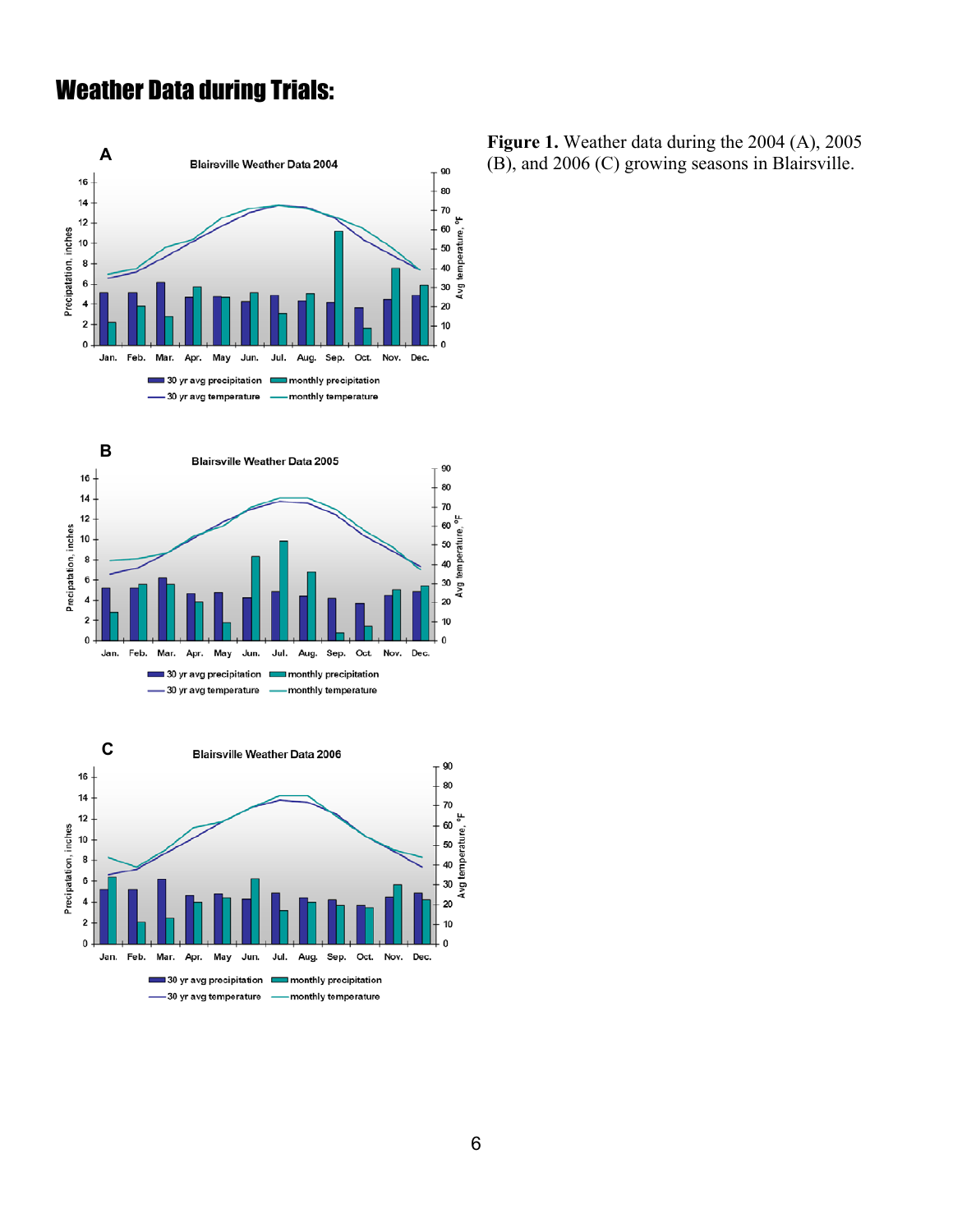## Weather Data during Trials:







**Figure 1.** Weather data during the 2004 (A), 2005 (B), and 2006 (C) growing seasons in Blairsville.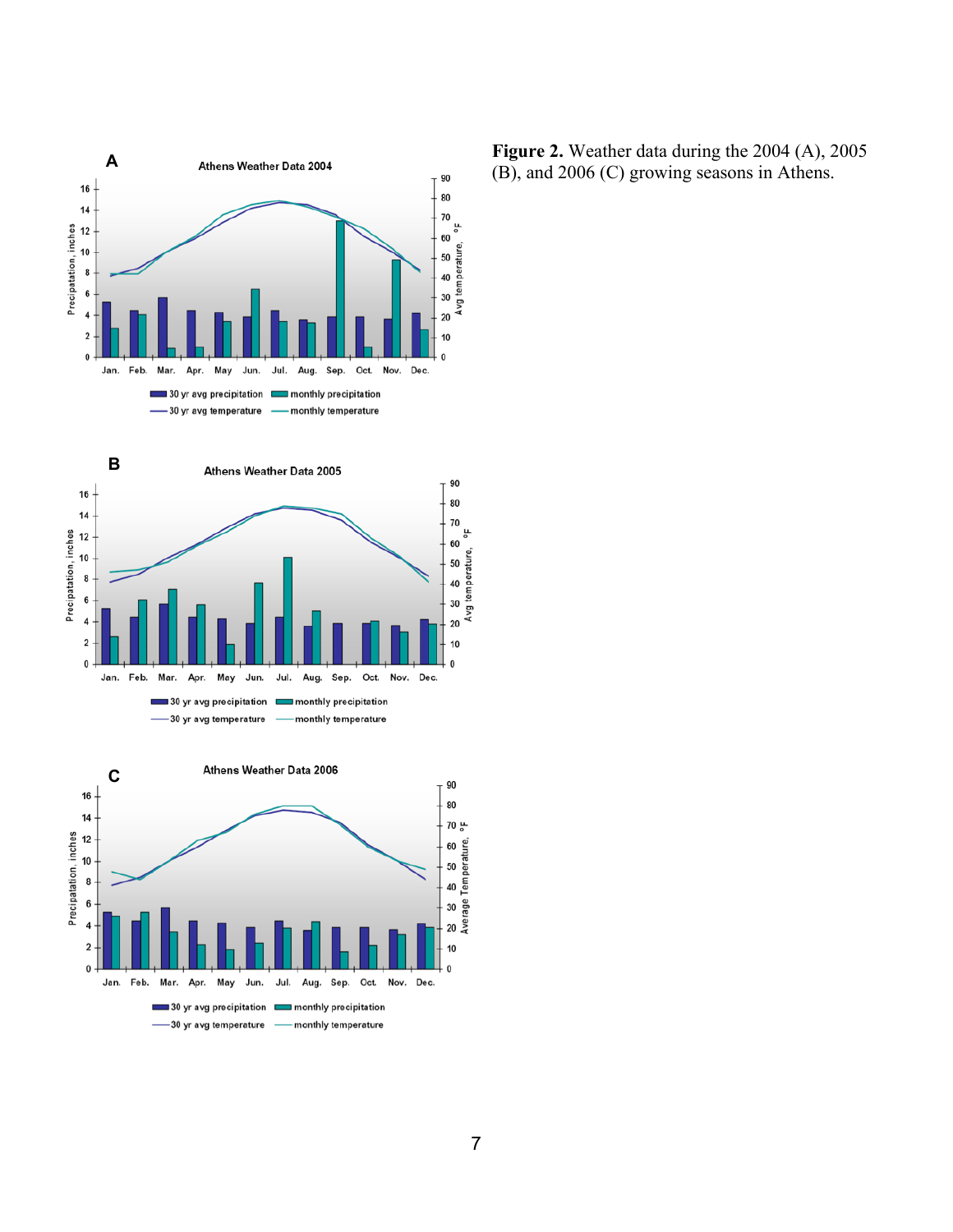





**Figure 2.** Weather data during the 2004 (A), 2005 (B), and 2006 (C) growing seasons in Athens.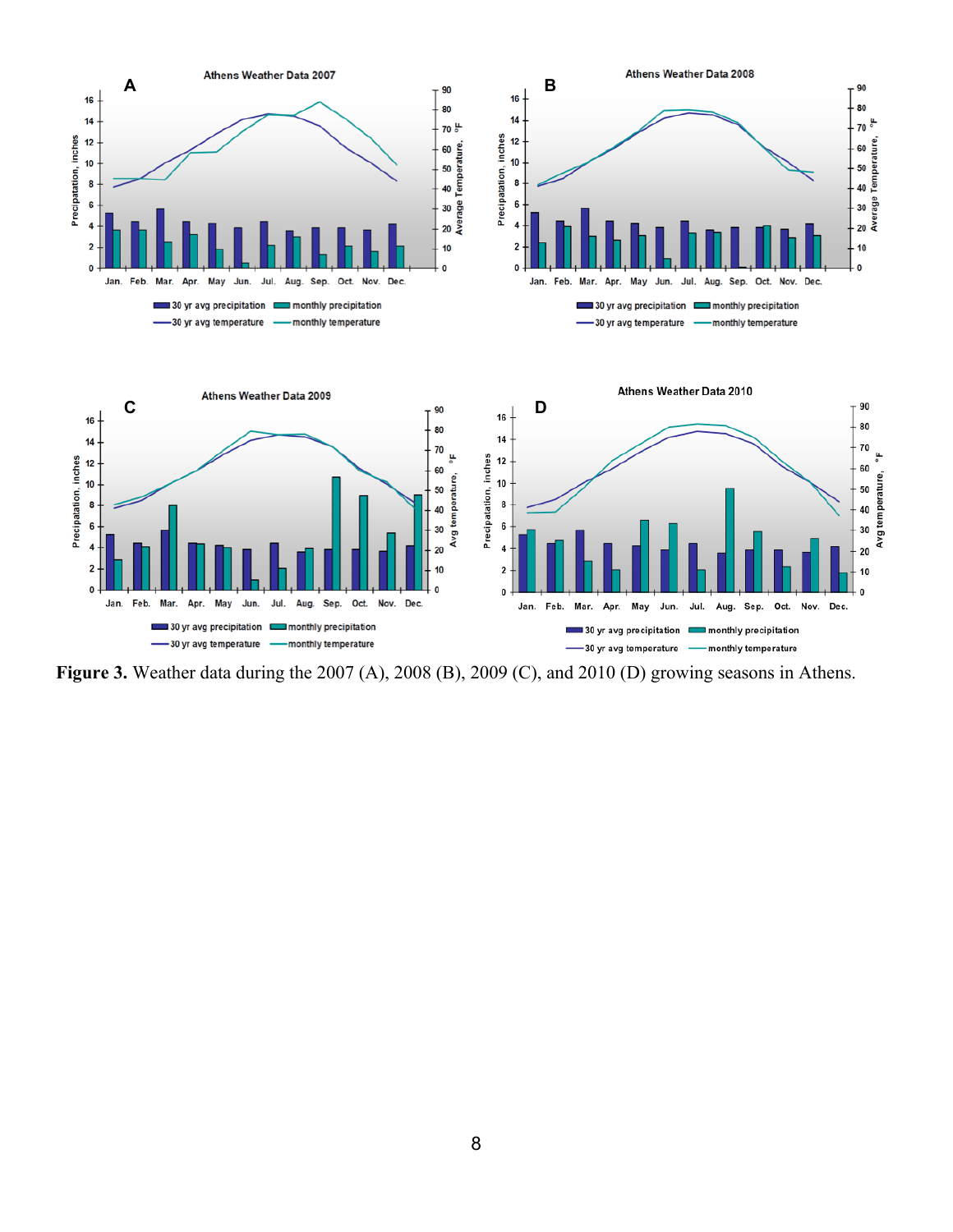

**Figure 3.** Weather data during the 2007 (A), 2008 (B), 2009 (C), and 2010 (D) growing seasons in Athens.